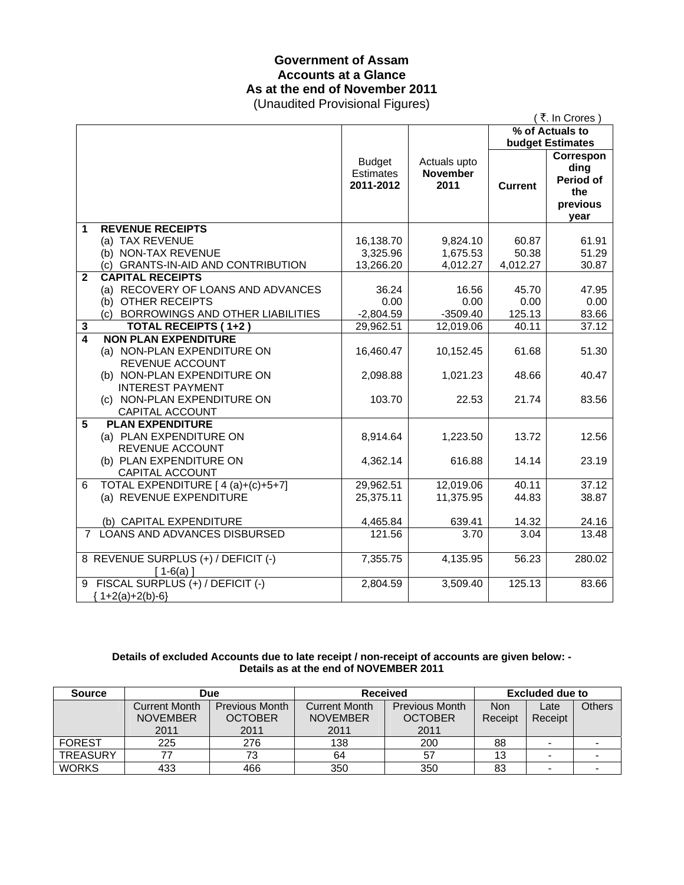# **Government of Assam Accounts at a Glance As at the end of November 2011**

(Unaudited Provisional Figures)

|                     |                                                                              |                                         |                                         |                            | (₹. In Crores)                                                                      |  |
|---------------------|------------------------------------------------------------------------------|-----------------------------------------|-----------------------------------------|----------------------------|-------------------------------------------------------------------------------------|--|
|                     |                                                                              |                                         |                                         | % of Actuals to            |                                                                                     |  |
|                     |                                                                              | <b>Budget</b><br>Estimates<br>2011-2012 | Actuals upto<br><b>November</b><br>2011 | <b>Current</b>             | <b>budget Estimates</b><br>Correspon<br>ding<br><b>Period of</b><br>the<br>previous |  |
| 1                   | <b>REVENUE RECEIPTS</b>                                                      |                                         |                                         |                            | year                                                                                |  |
|                     | (a) TAX REVENUE<br>(b) NON-TAX REVENUE<br>(c) GRANTS-IN-AID AND CONTRIBUTION | 16,138.70<br>3,325.96<br>13,266.20      | 9,824.10<br>1,675.53<br>4,012.27        | 60.87<br>50.38<br>4,012.27 | 61.91<br>51.29<br>30.87                                                             |  |
| $\mathbf{2}$        | <b>CAPITAL RECEIPTS</b>                                                      |                                         |                                         |                            |                                                                                     |  |
|                     | (a) RECOVERY OF LOANS AND ADVANCES                                           | 36.24                                   | 16.56                                   | 45.70                      | 47.95                                                                               |  |
|                     | (b) OTHER RECEIPTS                                                           | 0.00                                    | 0.00                                    | 0.00                       | 0.00                                                                                |  |
|                     | (c) BORROWINGS AND OTHER LIABILITIES                                         | $-2,804.59$                             | $-3509.40$                              | 125.13<br>40.11            | 83.66<br>37.12                                                                      |  |
| 3<br>$\overline{4}$ | <b>TOTAL RECEIPTS (1+2)</b><br><b>NON PLAN EXPENDITURE</b>                   | 29,962.51                               | 12,019.06                               |                            |                                                                                     |  |
|                     | (a) NON-PLAN EXPENDITURE ON<br>REVENUE ACCOUNT                               | 16,460.47                               | 10,152.45                               | 61.68                      | 51.30                                                                               |  |
|                     | (b) NON-PLAN EXPENDITURE ON<br><b>INTEREST PAYMENT</b>                       | 2,098.88                                | 1,021.23                                | 48.66                      | 40.47                                                                               |  |
|                     | (c) NON-PLAN EXPENDITURE ON<br>CAPITAL ACCOUNT                               | 103.70                                  | 22.53                                   | 21.74                      | 83.56                                                                               |  |
| 5                   | <b>PLAN EXPENDITURE</b><br>(a) PLAN EXPENDITURE ON<br>REVENUE ACCOUNT        | 8,914.64                                | 1,223.50                                | 13.72                      | 12.56                                                                               |  |
|                     | (b) PLAN EXPENDITURE ON<br>CAPITAL ACCOUNT                                   | 4,362.14                                | 616.88                                  | 14.14                      | 23.19                                                                               |  |
| 6                   | TOTAL EXPENDITURE [ 4 (a)+(c)+5+7]<br>(a) REVENUE EXPENDITURE                | 29,962.51<br>25,375.11                  | 12,019.06<br>11,375.95                  | 40.11<br>44.83             | 37.12<br>38.87                                                                      |  |
|                     | (b) CAPITAL EXPENDITURE                                                      | 4,465.84                                | 639.41                                  | 14.32                      | 24.16                                                                               |  |
| $\overline{7}$      | LOANS AND ADVANCES DISBURSED                                                 | 121.56                                  | 3.70                                    | 3.04                       | 13.48                                                                               |  |
|                     | 8 REVENUE SURPLUS (+) / DEFICIT (-)<br>$[1-6(a)]$                            | 7,355.75                                | 4,135.95                                | 56.23                      | 280.02                                                                              |  |
|                     | 9 FISCAL SURPLUS (+) / DEFICIT (-)<br>${1+2(a)+2(b)-6}$                      | 2,804.59                                | 3,509.40                                | 125.13                     | 83.66                                                                               |  |

#### **Details of excluded Accounts due to late receipt / non-receipt of accounts are given below: - Details as at the end of NOVEMBER 2011**

| <b>Source</b>   |                      | Due                   | <b>Received</b> |                       | Excluded due to |                          |               |
|-----------------|----------------------|-----------------------|-----------------|-----------------------|-----------------|--------------------------|---------------|
|                 | <b>Current Month</b> | <b>Previous Month</b> | Current Month   | <b>Previous Month</b> | <b>Non</b>      | Late                     | <b>Others</b> |
|                 | <b>NOVEMBER</b>      | <b>OCTOBER</b>        | <b>NOVEMBER</b> | <b>OCTOBER</b>        | Receipt         | Receipt                  |               |
|                 | 2011                 | 2011                  | 2011            | 2011                  |                 |                          |               |
| <b>FOREST</b>   | 225                  | 276                   | 138             | 200                   | 88              | $\overline{\phantom{0}}$ |               |
| <b>TREASURY</b> |                      | 73                    | 64              | 57                    | 13              |                          |               |
| <b>WORKS</b>    | 433                  | 466                   | 350             | 350                   | 83              |                          |               |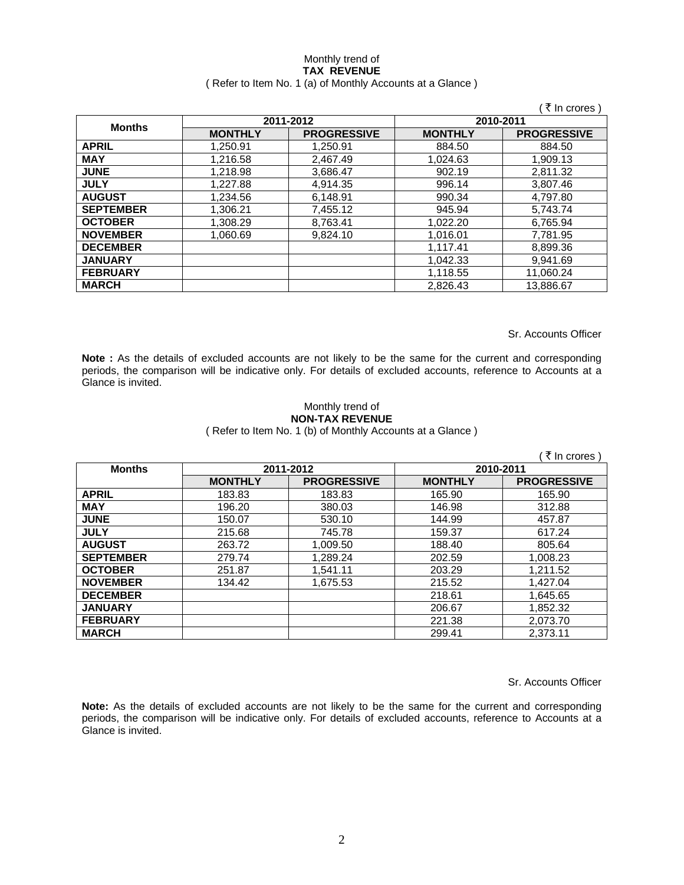#### Monthly trend of **TAX REVENUE**  ( Refer to Item No. 1 (a) of Monthly Accounts at a Glance )

|                  |                |                    |                | ∶₹ In crores )     |
|------------------|----------------|--------------------|----------------|--------------------|
|                  |                | 2011-2012          | 2010-2011      |                    |
| <b>Months</b>    | <b>MONTHLY</b> | <b>PROGRESSIVE</b> | <b>MONTHLY</b> | <b>PROGRESSIVE</b> |
| <b>APRIL</b>     | 1.250.91       | 1.250.91           | 884.50         | 884.50             |
| <b>MAY</b>       | 1.216.58       | 2.467.49           | 1.024.63       | 1,909.13           |
| <b>JUNE</b>      | 1.218.98       | 3,686.47           | 902.19         | 2,811.32           |
| <b>JULY</b>      | 1,227.88       | 4,914.35           | 996.14         | 3,807.46           |
| <b>AUGUST</b>    | 1,234.56       | 6,148.91           | 990.34         | 4,797.80           |
| <b>SEPTEMBER</b> | 1,306.21       | 7,455.12           | 945.94         | 5,743.74           |
| <b>OCTOBER</b>   | 1,308.29       | 8,763.41           | 1,022.20       | 6,765.94           |
| <b>NOVEMBER</b>  | 1,060.69       | 9,824.10           | 1,016.01       | 7,781.95           |
| <b>DECEMBER</b>  |                |                    | 1,117.41       | 8,899.36           |
| <b>JANUARY</b>   |                |                    | 1.042.33       | 9.941.69           |
| <b>FEBRUARY</b>  |                |                    | 1,118.55       | 11,060.24          |
| <b>MARCH</b>     |                |                    | 2,826.43       | 13.886.67          |

Sr. Accounts Officer

**Note :** As the details of excluded accounts are not likely to be the same for the current and corresponding periods, the comparison will be indicative only. For details of excluded accounts, reference to Accounts at a Glance is invited.

### Monthly trend of **NON-TAX REVENUE**

( Refer to Item No. 1 (b) of Monthly Accounts at a Glance )

|                  |                |                    |                | ₹ In crores )      |
|------------------|----------------|--------------------|----------------|--------------------|
| <b>Months</b>    |                | 2011-2012          | 2010-2011      |                    |
|                  | <b>MONTHLY</b> | <b>PROGRESSIVE</b> | <b>MONTHLY</b> | <b>PROGRESSIVE</b> |
| <b>APRIL</b>     | 183.83         | 183.83             | 165.90         | 165.90             |
| <b>MAY</b>       | 196.20         | 380.03             | 146.98         | 312.88             |
| <b>JUNE</b>      | 150.07         | 530.10             | 144.99         | 457.87             |
| <b>JULY</b>      | 215.68         | 745.78             | 159.37         | 617.24             |
| <b>AUGUST</b>    | 263.72         | 1,009.50           | 188.40         | 805.64             |
| <b>SEPTEMBER</b> | 279.74         | 1,289.24           | 202.59         | 1.008.23           |
| <b>OCTOBER</b>   | 251.87         | 1,541.11           | 203.29         | 1,211.52           |
| <b>NOVEMBER</b>  | 134.42         | 1,675.53           | 215.52         | 1,427.04           |
| <b>DECEMBER</b>  |                |                    | 218.61         | 1,645.65           |
| <b>JANUARY</b>   |                |                    | 206.67         | 1,852.32           |
| <b>FEBRUARY</b>  |                |                    | 221.38         | 2,073.70           |
| <b>MARCH</b>     |                |                    | 299.41         | 2,373.11           |

Sr. Accounts Officer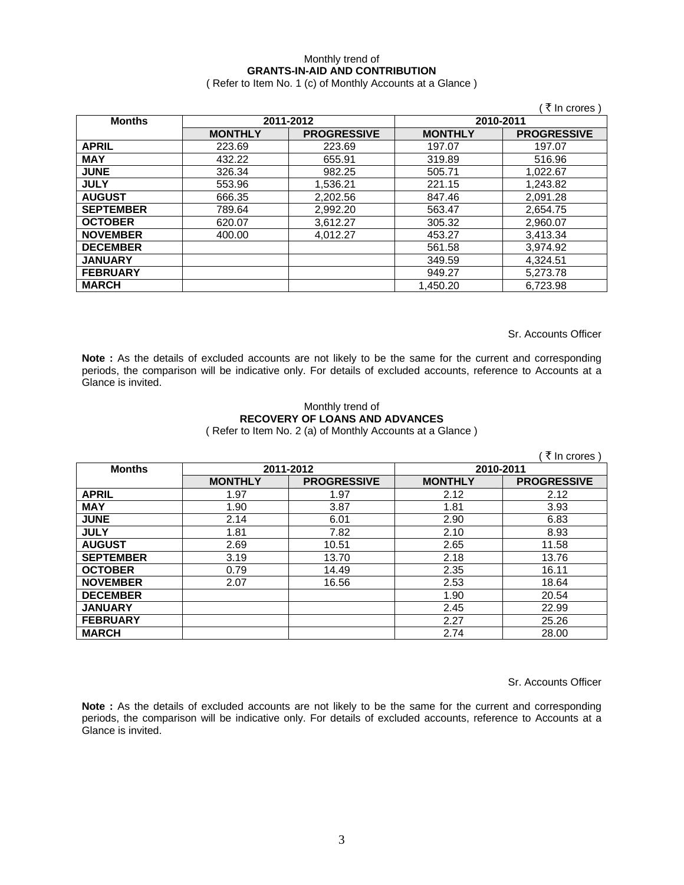### Monthly trend of **GRANTS-IN-AID AND CONTRIBUTION**

( Refer to Item No. 1 (c) of Monthly Accounts at a Glance )

|                  |                |                    |                | ₹ In crores)       |
|------------------|----------------|--------------------|----------------|--------------------|
| <b>Months</b>    |                | 2011-2012          | 2010-2011      |                    |
|                  | <b>MONTHLY</b> | <b>PROGRESSIVE</b> | <b>MONTHLY</b> | <b>PROGRESSIVE</b> |
| <b>APRIL</b>     | 223.69         | 223.69             | 197.07         | 197.07             |
| <b>MAY</b>       | 432.22         | 655.91             | 319.89         | 516.96             |
| <b>JUNE</b>      | 326.34         | 982.25             | 505.71         | 1,022.67           |
| <b>JULY</b>      | 553.96         | 1,536.21           | 221.15         | 1,243.82           |
| <b>AUGUST</b>    | 666.35         | 2,202.56           | 847.46         | 2,091.28           |
| <b>SEPTEMBER</b> | 789.64         | 2,992.20           | 563.47         | 2,654.75           |
| <b>OCTOBER</b>   | 620.07         | 3,612.27           | 305.32         | 2,960.07           |
| <b>NOVEMBER</b>  | 400.00         | 4,012.27           | 453.27         | 3,413.34           |
| <b>DECEMBER</b>  |                |                    | 561.58         | 3,974.92           |
| <b>JANUARY</b>   |                |                    | 349.59         | 4,324.51           |
| <b>FEBRUARY</b>  |                |                    | 949.27         | 5,273.78           |
| <b>MARCH</b>     |                |                    | 1.450.20       | 6.723.98           |

Sr. Accounts Officer

**Note :** As the details of excluded accounts are not likely to be the same for the current and corresponding periods, the comparison will be indicative only. For details of excluded accounts, reference to Accounts at a Glance is invited.

#### Monthly trend of **RECOVERY OF LOANS AND ADVANCES**  ( Refer to Item No. 2 (a) of Monthly Accounts at a Glance )

|                  |                |                    |                | ₹ In crores)       |
|------------------|----------------|--------------------|----------------|--------------------|
| <b>Months</b>    |                | 2011-2012          | 2010-2011      |                    |
|                  | <b>MONTHLY</b> | <b>PROGRESSIVE</b> | <b>MONTHLY</b> | <b>PROGRESSIVE</b> |
| <b>APRIL</b>     | 1.97           | 1.97               | 2.12           | 2.12               |
| <b>MAY</b>       | 1.90           | 3.87               | 1.81           | 3.93               |
| <b>JUNE</b>      | 2.14           | 6.01               | 2.90           | 6.83               |
| <b>JULY</b>      | 1.81           | 7.82               | 2.10           | 8.93               |
| <b>AUGUST</b>    | 2.69           | 10.51              | 2.65           | 11.58              |
| <b>SEPTEMBER</b> | 3.19           | 13.70              | 2.18           | 13.76              |
| <b>OCTOBER</b>   | 0.79           | 14.49              | 2.35           | 16.11              |
| <b>NOVEMBER</b>  | 2.07           | 16.56              | 2.53           | 18.64              |
| <b>DECEMBER</b>  |                |                    | 1.90           | 20.54              |
| <b>JANUARY</b>   |                |                    | 2.45           | 22.99              |
| <b>FEBRUARY</b>  |                |                    | 2.27           | 25.26              |
| <b>MARCH</b>     |                |                    | 2.74           | 28.00              |

Sr. Accounts Officer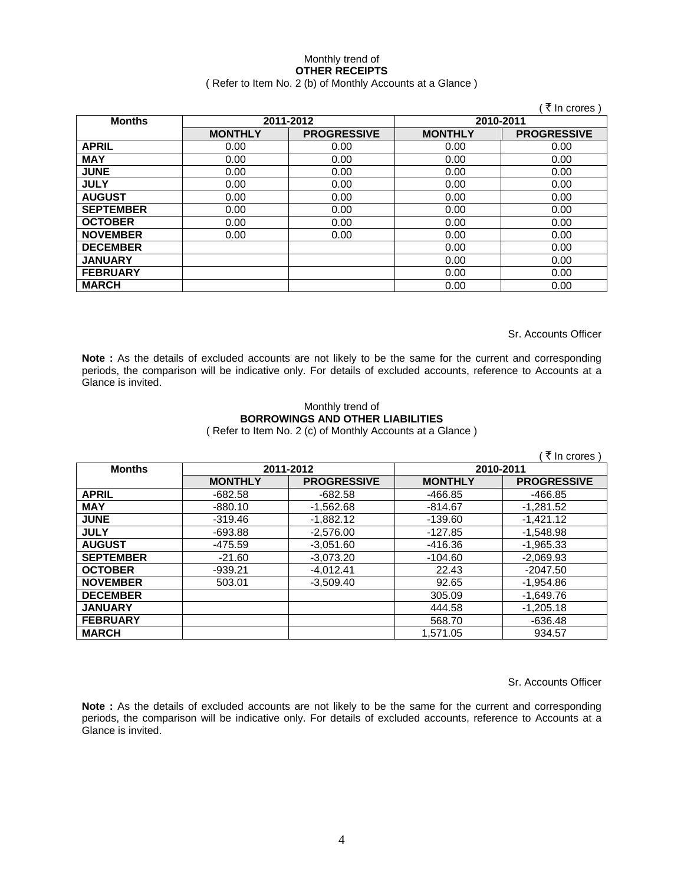#### Monthly trend of **OTHER RECEIPTS**  ( Refer to Item No. 2 (b) of Monthly Accounts at a Glance )

| <b>Months</b>    |                | 2011-2012          |                | 2010-2011          |
|------------------|----------------|--------------------|----------------|--------------------|
|                  | <b>MONTHLY</b> | <b>PROGRESSIVE</b> | <b>MONTHLY</b> | <b>PROGRESSIVE</b> |
| <b>APRIL</b>     | 0.00           | 0.00               | 0.00           | 0.00               |
| <b>MAY</b>       | 0.00           | 0.00               | 0.00           | 0.00               |
| <b>JUNE</b>      | 0.00           | 0.00               | 0.00           | 0.00               |
| <b>JULY</b>      | 0.00           | 0.00               | 0.00           | 0.00               |
| <b>AUGUST</b>    | 0.00           | 0.00               | 0.00           | 0.00               |
| <b>SEPTEMBER</b> | 0.00           | 0.00               | 0.00           | 0.00               |
| <b>OCTOBER</b>   | 0.00           | 0.00               | 0.00           | 0.00               |
| <b>NOVEMBER</b>  | 0.00           | 0.00               | 0.00           | 0.00               |
| <b>DECEMBER</b>  |                |                    | 0.00           | 0.00               |
| <b>JANUARY</b>   |                |                    | 0.00           | 0.00               |
| <b>FEBRUARY</b>  |                |                    | 0.00           | 0.00               |
| <b>MARCH</b>     |                |                    | 0.00           | 0.00               |

Sr. Accounts Officer

Note : As the details of excluded accounts are not likely to be the same for the current and corresponding periods, the comparison will be indicative only. For details of excluded accounts, reference to Accounts at a Glance is invited.

## Monthly trend of **BORROWINGS AND OTHER LIABILITIES**

( Refer to Item No. 2 (c) of Monthly Accounts at a Glance )

| (₹ In crores)    |                |                    |                |                    |  |
|------------------|----------------|--------------------|----------------|--------------------|--|
| <b>Months</b>    | 2011-2012      |                    | 2010-2011      |                    |  |
|                  | <b>MONTHLY</b> | <b>PROGRESSIVE</b> | <b>MONTHLY</b> | <b>PROGRESSIVE</b> |  |
| <b>APRIL</b>     | $-682.58$      | $-682.58$          | $-466.85$      | $-466.85$          |  |
| <b>MAY</b>       | $-880.10$      | $-1,562.68$        | $-814.67$      | $-1,281.52$        |  |
| <b>JUNE</b>      | $-319.46$      | $-1.882.12$        | $-139.60$      | $-1,421.12$        |  |
| <b>JULY</b>      | $-693.88$      | $-2.576.00$        | $-127.85$      | $-1.548.98$        |  |
| <b>AUGUST</b>    | -475.59        | $-3.051.60$        | -416.36        | $-1.965.33$        |  |
| <b>SEPTEMBER</b> | $-21.60$       | $-3,073.20$        | $-104.60$      | $-2,069.93$        |  |
| <b>OCTOBER</b>   | $-939.21$      | $-4,012.41$        | 22.43          | $-2047.50$         |  |
| <b>NOVEMBER</b>  | 503.01         | $-3,509.40$        | 92.65          | $-1,954.86$        |  |
| <b>DECEMBER</b>  |                |                    | 305.09         | $-1,649.76$        |  |
| <b>JANUARY</b>   |                |                    | 444.58         | $-1,205.18$        |  |
| <b>FEBRUARY</b>  |                |                    | 568.70         | $-636.48$          |  |
| <b>MARCH</b>     |                |                    | 1.571.05       | 934.57             |  |

Sr. Accounts Officer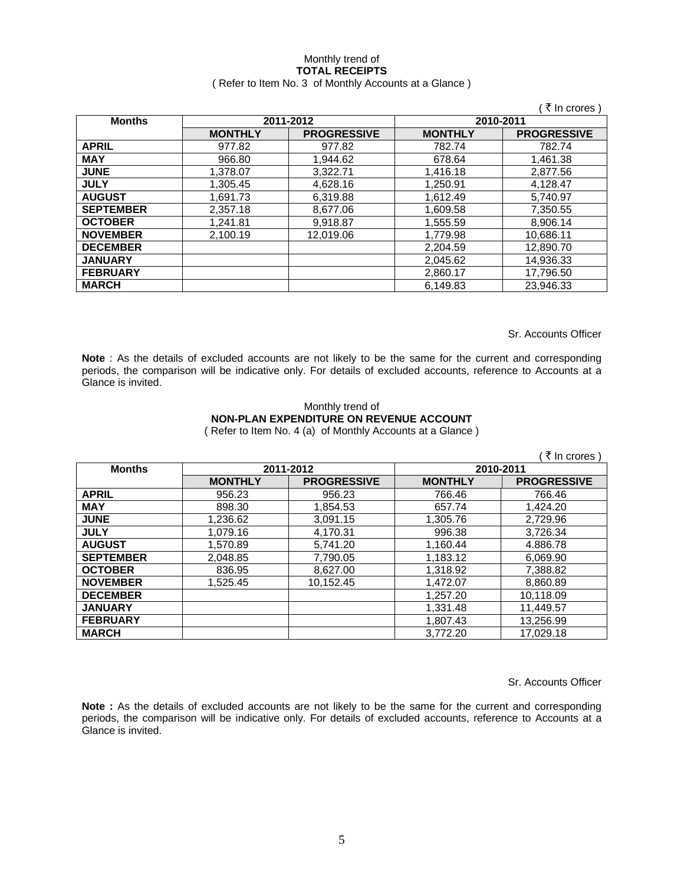#### Monthly trend of **TOTAL RECEIPTS**  ( Refer to Item No. 3 of Monthly Accounts at a Glance )

|                  |                |                    |                | ं ₹ In crores )    |
|------------------|----------------|--------------------|----------------|--------------------|
| <b>Months</b>    | 2011-2012      |                    | 2010-2011      |                    |
|                  | <b>MONTHLY</b> | <b>PROGRESSIVE</b> | <b>MONTHLY</b> | <b>PROGRESSIVE</b> |
| <b>APRIL</b>     | 977.82         | 977.82             | 782.74         | 782.74             |
| <b>MAY</b>       | 966.80         | 1,944.62           | 678.64         | 1,461.38           |
| <b>JUNE</b>      | 1,378.07       | 3,322.71           | 1,416.18       | 2,877.56           |
| <b>JULY</b>      | 1.305.45       | 4.628.16           | 1,250.91       | 4.128.47           |
| <b>AUGUST</b>    | 1.691.73       | 6.319.88           | 1.612.49       | 5.740.97           |
| <b>SEPTEMBER</b> | 2.357.18       | 8,677.06           | 1,609.58       | 7.350.55           |
| <b>OCTOBER</b>   | 1,241.81       | 9,918.87           | 1,555.59       | 8,906.14           |
| <b>NOVEMBER</b>  | 2.100.19       | 12.019.06          | 1,779.98       | 10,686.11          |
| <b>DECEMBER</b>  |                |                    | 2,204.59       | 12,890.70          |
| <b>JANUARY</b>   |                |                    | 2,045.62       | 14,936.33          |
| <b>FEBRUARY</b>  |                |                    | 2,860.17       | 17,796.50          |
| <b>MARCH</b>     |                |                    | 6,149.83       | 23,946.33          |

Sr. Accounts Officer

**Note** : As the details of excluded accounts are not likely to be the same for the current and corresponding periods, the comparison will be indicative only. For details of excluded accounts, reference to Accounts at a Glance is invited.

#### Monthly trend of **NON-PLAN EXPENDITURE ON REVENUE ACCOUNT**  ( Refer to Item No. 4 (a) of Monthly Accounts at a Glance )

| ₹ In crores )    |                |                    |                |                    |  |
|------------------|----------------|--------------------|----------------|--------------------|--|
| <b>Months</b>    |                | 2011-2012          |                | 2010-2011          |  |
|                  | <b>MONTHLY</b> | <b>PROGRESSIVE</b> | <b>MONTHLY</b> | <b>PROGRESSIVE</b> |  |
| <b>APRIL</b>     | 956.23         | 956.23             | 766.46         | 766.46             |  |
| <b>MAY</b>       | 898.30         | 1,854.53           | 657.74         | 1,424.20           |  |
| <b>JUNE</b>      | 1,236.62       | 3,091.15           | 1,305.76       | 2,729.96           |  |
| <b>JULY</b>      | 1,079.16       | 4,170.31           | 996.38         | 3,726.34           |  |
| <b>AUGUST</b>    | 1,570.89       | 5,741.20           | 1,160.44       | 4.886.78           |  |
| <b>SEPTEMBER</b> | 2,048.85       | 7,790.05           | 1,183.12       | 6,069.90           |  |
| <b>OCTOBER</b>   | 836.95         | 8,627.00           | 1,318.92       | 7,388.82           |  |
| <b>NOVEMBER</b>  | 1.525.45       | 10,152.45          | 1,472.07       | 8,860.89           |  |
| <b>DECEMBER</b>  |                |                    | 1,257.20       | 10,118.09          |  |
| <b>JANUARY</b>   |                |                    | 1.331.48       | 11.449.57          |  |
| <b>FEBRUARY</b>  |                |                    | 1,807.43       | 13,256.99          |  |
| <b>MARCH</b>     |                |                    | 3.772.20       | 17.029.18          |  |

Sr. Accounts Officer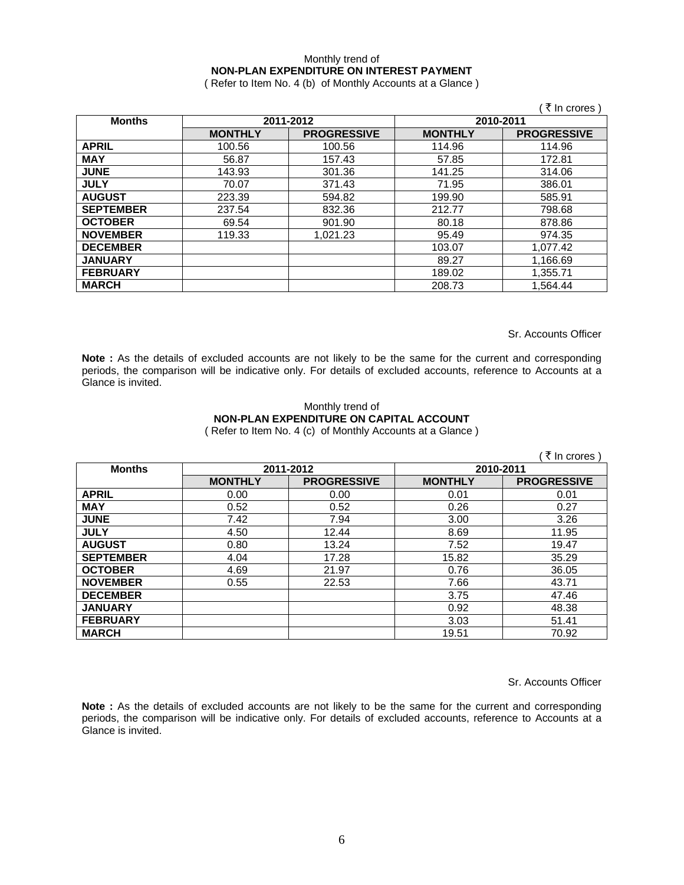### Monthly trend of **NON-PLAN EXPENDITURE ON INTEREST PAYMENT**

( Refer to Item No. 4 (b) of Monthly Accounts at a Glance )

|                  |                |                    |                | ़ ₹ In crores )    |
|------------------|----------------|--------------------|----------------|--------------------|
| <b>Months</b>    |                | 2011-2012          | 2010-2011      |                    |
|                  | <b>MONTHLY</b> | <b>PROGRESSIVE</b> | <b>MONTHLY</b> | <b>PROGRESSIVE</b> |
| <b>APRIL</b>     | 100.56         | 100.56             | 114.96         | 114.96             |
| <b>MAY</b>       | 56.87          | 157.43             | 57.85          | 172.81             |
| <b>JUNE</b>      | 143.93         | 301.36             | 141.25         | 314.06             |
| <b>JULY</b>      | 70.07          | 371.43             | 71.95          | 386.01             |
| <b>AUGUST</b>    | 223.39         | 594.82             | 199.90         | 585.91             |
| <b>SEPTEMBER</b> | 237.54         | 832.36             | 212.77         | 798.68             |
| <b>OCTOBER</b>   | 69.54          | 901.90             | 80.18          | 878.86             |
| <b>NOVEMBER</b>  | 119.33         | 1,021.23           | 95.49          | 974.35             |
| <b>DECEMBER</b>  |                |                    | 103.07         | 1,077.42           |
| <b>JANUARY</b>   |                |                    | 89.27          | 1,166.69           |
| <b>FEBRUARY</b>  |                |                    | 189.02         | 1,355.71           |
| <b>MARCH</b>     |                |                    | 208.73         | 1,564.44           |

Sr. Accounts Officer

Note : As the details of excluded accounts are not likely to be the same for the current and corresponding periods, the comparison will be indicative only. For details of excluded accounts, reference to Accounts at a Glance is invited.

#### Monthly trend of **NON-PLAN EXPENDITURE ON CAPITAL ACCOUNT**  ( Refer to Item No. 4 (c) of Monthly Accounts at a Glance )

|                  |                |                    |                | ्रे In crores )    |
|------------------|----------------|--------------------|----------------|--------------------|
| <b>Months</b>    |                | 2011-2012          | 2010-2011      |                    |
|                  | <b>MONTHLY</b> | <b>PROGRESSIVE</b> | <b>MONTHLY</b> | <b>PROGRESSIVE</b> |
| <b>APRIL</b>     | 0.00           | 0.00               | 0.01           | 0.01               |
| <b>MAY</b>       | 0.52           | 0.52               | 0.26           | 0.27               |
| <b>JUNE</b>      | 7.42           | 7.94               | 3.00           | 3.26               |
| <b>JULY</b>      | 4.50           | 12.44              | 8.69           | 11.95              |
| <b>AUGUST</b>    | 0.80           | 13.24              | 7.52           | 19.47              |
| <b>SEPTEMBER</b> | 4.04           | 17.28              | 15.82          | 35.29              |
| <b>OCTOBER</b>   | 4.69           | 21.97              | 0.76           | 36.05              |
| <b>NOVEMBER</b>  | 0.55           | 22.53              | 7.66           | 43.71              |
| <b>DECEMBER</b>  |                |                    | 3.75           | 47.46              |
| <b>JANUARY</b>   |                |                    | 0.92           | 48.38              |
| <b>FEBRUARY</b>  |                |                    | 3.03           | 51.41              |
| <b>MARCH</b>     |                |                    | 19.51          | 70.92              |

Sr. Accounts Officer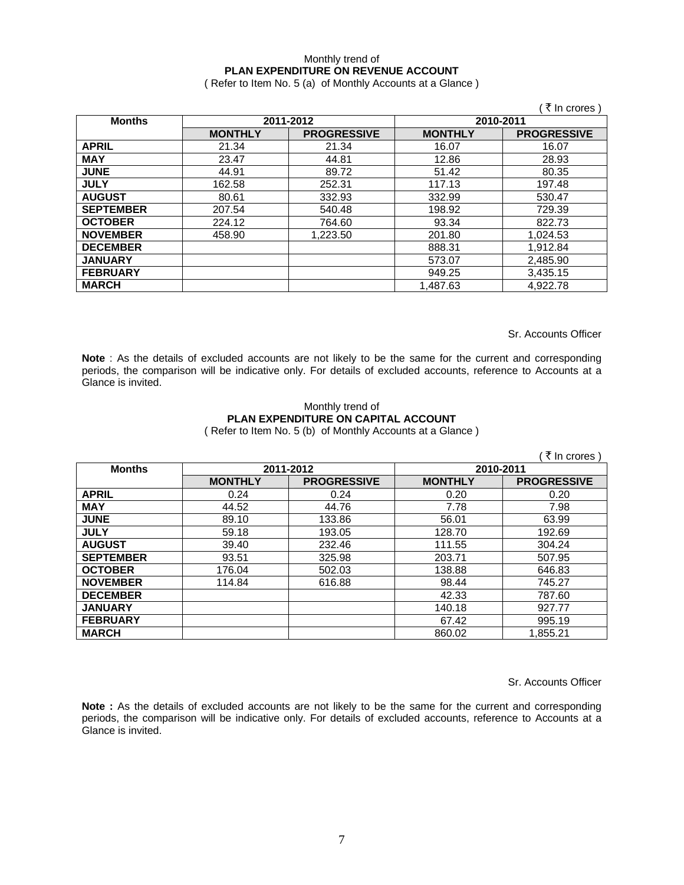### Monthly trend of **PLAN EXPENDITURE ON REVENUE ACCOUNT**

( Refer to Item No. 5 (a) of Monthly Accounts at a Glance )

|                  |                |                    |                | ं रे In crores )   |
|------------------|----------------|--------------------|----------------|--------------------|
| <b>Months</b>    |                | 2011-2012          | 2010-2011      |                    |
|                  | <b>MONTHLY</b> | <b>PROGRESSIVE</b> | <b>MONTHLY</b> | <b>PROGRESSIVE</b> |
| <b>APRIL</b>     | 21.34          | 21.34              | 16.07          | 16.07              |
| <b>MAY</b>       | 23.47          | 44.81              | 12.86          | 28.93              |
| <b>JUNE</b>      | 44.91          | 89.72              | 51.42          | 80.35              |
| <b>JULY</b>      | 162.58         | 252.31             | 117.13         | 197.48             |
| <b>AUGUST</b>    | 80.61          | 332.93             | 332.99         | 530.47             |
| <b>SEPTEMBER</b> | 207.54         | 540.48             | 198.92         | 729.39             |
| <b>OCTOBER</b>   | 224.12         | 764.60             | 93.34          | 822.73             |
| <b>NOVEMBER</b>  | 458.90         | 1,223.50           | 201.80         | 1,024.53           |
| <b>DECEMBER</b>  |                |                    | 888.31         | 1,912.84           |
| <b>JANUARY</b>   |                |                    | 573.07         | 2,485.90           |
| <b>FEBRUARY</b>  |                |                    | 949.25         | 3,435.15           |
| <b>MARCH</b>     |                |                    | 1,487.63       | 4,922.78           |

Sr. Accounts Officer

**Note** : As the details of excluded accounts are not likely to be the same for the current and corresponding periods, the comparison will be indicative only. For details of excluded accounts, reference to Accounts at a Glance is invited.

#### Monthly trend of **PLAN EXPENDITURE ON CAPITAL ACCOUNT**  ( Refer to Item No. 5 (b) of Monthly Accounts at a Glance )

|                  |                |                    |                | ∶₹ In crores )     |
|------------------|----------------|--------------------|----------------|--------------------|
| <b>Months</b>    | 2011-2012      |                    | 2010-2011      |                    |
|                  | <b>MONTHLY</b> | <b>PROGRESSIVE</b> | <b>MONTHLY</b> | <b>PROGRESSIVE</b> |
| <b>APRIL</b>     | 0.24           | 0.24               | 0.20           | 0.20               |
| <b>MAY</b>       | 44.52          | 44.76              | 7.78           | 7.98               |
| <b>JUNE</b>      | 89.10          | 133.86             | 56.01          | 63.99              |
| <b>JULY</b>      | 59.18          | 193.05             | 128.70         | 192.69             |
| <b>AUGUST</b>    | 39.40          | 232.46             | 111.55         | 304.24             |
| <b>SEPTEMBER</b> | 93.51          | 325.98             | 203.71         | 507.95             |
| <b>OCTOBER</b>   | 176.04         | 502.03             | 138.88         | 646.83             |
| <b>NOVEMBER</b>  | 114.84         | 616.88             | 98.44          | 745.27             |
| <b>DECEMBER</b>  |                |                    | 42.33          | 787.60             |
| <b>JANUARY</b>   |                |                    | 140.18         | 927.77             |
| <b>FEBRUARY</b>  |                |                    | 67.42          | 995.19             |
| <b>MARCH</b>     |                |                    | 860.02         | 1,855.21           |

Sr. Accounts Officer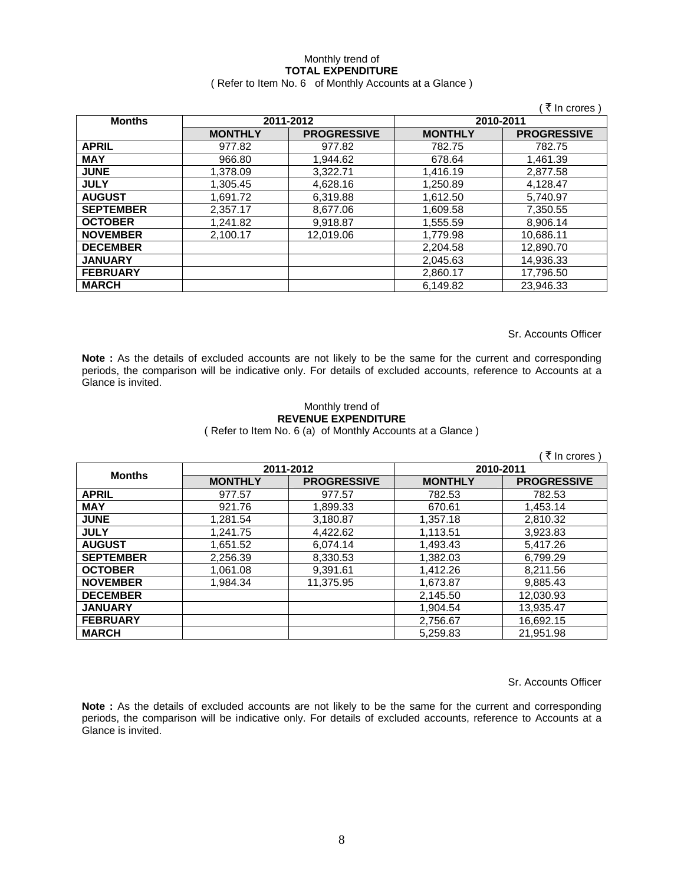## Monthly trend of **TOTAL EXPENDITURE**

### ( Refer to Item No. 6 of Monthly Accounts at a Glance )

|                  |                |                        |                | ₹ In crores        |
|------------------|----------------|------------------------|----------------|--------------------|
| <b>Months</b>    |                | 2011-2012<br>2010-2011 |                |                    |
|                  | <b>MONTHLY</b> | <b>PROGRESSIVE</b>     | <b>MONTHLY</b> | <b>PROGRESSIVE</b> |
| <b>APRIL</b>     | 977.82         | 977.82                 | 782.75         | 782.75             |
| <b>MAY</b>       | 966.80         | 1.944.62               | 678.64         | 1.461.39           |
| <b>JUNE</b>      | 1.378.09       | 3.322.71               | 1,416.19       | 2,877.58           |
| <b>JULY</b>      | 1.305.45       | 4,628.16               | 1,250.89       | 4,128.47           |
| <b>AUGUST</b>    | 1,691.72       | 6,319.88               | 1,612.50       | 5,740.97           |
| <b>SEPTEMBER</b> | 2,357.17       | 8,677.06               | 1,609.58       | 7,350.55           |
| <b>OCTOBER</b>   | 1,241.82       | 9,918.87               | 1,555.59       | 8,906.14           |
| <b>NOVEMBER</b>  | 2,100.17       | 12,019.06              | 1,779.98       | 10,686.11          |
| <b>DECEMBER</b>  |                |                        | 2,204.58       | 12,890.70          |
| <b>JANUARY</b>   |                |                        | 2,045.63       | 14,936.33          |
| <b>FEBRUARY</b>  |                |                        | 2,860.17       | 17,796.50          |
| <b>MARCH</b>     |                |                        | 6,149.82       | 23.946.33          |

Sr. Accounts Officer

**Note :** As the details of excluded accounts are not likely to be the same for the current and corresponding periods, the comparison will be indicative only. For details of excluded accounts, reference to Accounts at a Glance is invited.

#### Monthly trend of **REVENUE EXPENDITURE**  ( Refer to Item No. 6 (a) of Monthly Accounts at a Glance )

|                  |                |                    |                | ₹ In crores )      |
|------------------|----------------|--------------------|----------------|--------------------|
| <b>Months</b>    | 2011-2012      |                    | 2010-2011      |                    |
|                  | <b>MONTHLY</b> | <b>PROGRESSIVE</b> | <b>MONTHLY</b> | <b>PROGRESSIVE</b> |
| <b>APRIL</b>     | 977.57         | 977.57             | 782.53         | 782.53             |
| <b>MAY</b>       | 921.76         | 1,899.33           | 670.61         | 1,453.14           |
| <b>JUNE</b>      | 1,281.54       | 3,180.87           | 1,357.18       | 2,810.32           |
| <b>JULY</b>      | 1,241.75       | 4,422.62           | 1,113.51       | 3,923.83           |
| <b>AUGUST</b>    | 1,651.52       | 6,074.14           | 1.493.43       | 5,417.26           |
| <b>SEPTEMBER</b> | 2,256.39       | 8,330.53           | 1,382.03       | 6,799.29           |
| <b>OCTOBER</b>   | 1,061.08       | 9,391.61           | 1,412.26       | 8,211.56           |
| <b>NOVEMBER</b>  | 1.984.34       | 11,375.95          | 1,673.87       | 9,885.43           |
| <b>DECEMBER</b>  |                |                    | 2,145.50       | 12,030.93          |
| <b>JANUARY</b>   |                |                    | 1.904.54       | 13.935.47          |
| <b>FEBRUARY</b>  |                |                    | 2,756.67       | 16,692.15          |
| <b>MARCH</b>     |                |                    | 5.259.83       | 21.951.98          |

Sr. Accounts Officer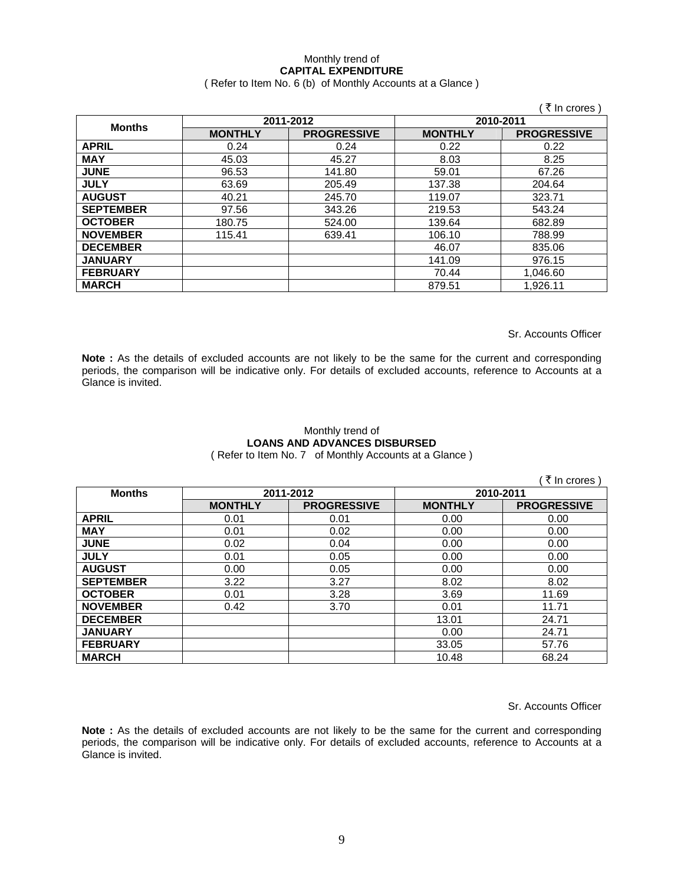## Monthly trend of **CAPITAL EXPENDITURE**

( Refer to Item No. 6 (b) of Monthly Accounts at a Glance )

|                  |                |                    |                | ∶ रे In crores )   |
|------------------|----------------|--------------------|----------------|--------------------|
| <b>Months</b>    | 2011-2012      |                    | 2010-2011      |                    |
|                  | <b>MONTHLY</b> | <b>PROGRESSIVE</b> | <b>MONTHLY</b> | <b>PROGRESSIVE</b> |
| <b>APRIL</b>     | 0.24           | 0.24               | 0.22           | 0.22               |
| <b>MAY</b>       | 45.03          | 45.27              | 8.03           | 8.25               |
| <b>JUNE</b>      | 96.53          | 141.80             | 59.01          | 67.26              |
| <b>JULY</b>      | 63.69          | 205.49             | 137.38         | 204.64             |
| <b>AUGUST</b>    | 40.21          | 245.70             | 119.07         | 323.71             |
| <b>SEPTEMBER</b> | 97.56          | 343.26             | 219.53         | 543.24             |
| <b>OCTOBER</b>   | 180.75         | 524.00             | 139.64         | 682.89             |
| <b>NOVEMBER</b>  | 115.41         | 639.41             | 106.10         | 788.99             |
| <b>DECEMBER</b>  |                |                    | 46.07          | 835.06             |
| <b>JANUARY</b>   |                |                    | 141.09         | 976.15             |
| <b>FEBRUARY</b>  |                |                    | 70.44          | 1,046.60           |
| <b>MARCH</b>     |                |                    | 879.51         | 1,926.11           |

Sr. Accounts Officer

**Note :** As the details of excluded accounts are not likely to be the same for the current and corresponding periods, the comparison will be indicative only. For details of excluded accounts, reference to Accounts at a Glance is invited.

## Monthly trend of **LOANS AND ADVANCES DISBURSED**

( Refer to Item No. 7 of Monthly Accounts at a Glance )

|                  |                |                    |                | ्रे In crores )    |
|------------------|----------------|--------------------|----------------|--------------------|
| <b>Months</b>    | 2011-2012      |                    | 2010-2011      |                    |
|                  | <b>MONTHLY</b> | <b>PROGRESSIVE</b> | <b>MONTHLY</b> | <b>PROGRESSIVE</b> |
| <b>APRIL</b>     | 0.01           | 0.01               | 0.00           | 0.00               |
| <b>MAY</b>       | 0.01           | 0.02               | 0.00           | 0.00               |
| <b>JUNE</b>      | 0.02           | 0.04               | 0.00           | 0.00               |
| <b>JULY</b>      | 0.01           | 0.05               | 0.00           | 0.00               |
| <b>AUGUST</b>    | 0.00           | 0.05               | 0.00           | 0.00               |
| <b>SEPTEMBER</b> | 3.22           | 3.27               | 8.02           | 8.02               |
| <b>OCTOBER</b>   | 0.01           | 3.28               | 3.69           | 11.69              |
| <b>NOVEMBER</b>  | 0.42           | 3.70               | 0.01           | 11.71              |
| <b>DECEMBER</b>  |                |                    | 13.01          | 24.71              |
| <b>JANUARY</b>   |                |                    | 0.00           | 24.71              |
| <b>FEBRUARY</b>  |                |                    | 33.05          | 57.76              |
| <b>MARCH</b>     |                |                    | 10.48          | 68.24              |

Sr. Accounts Officer